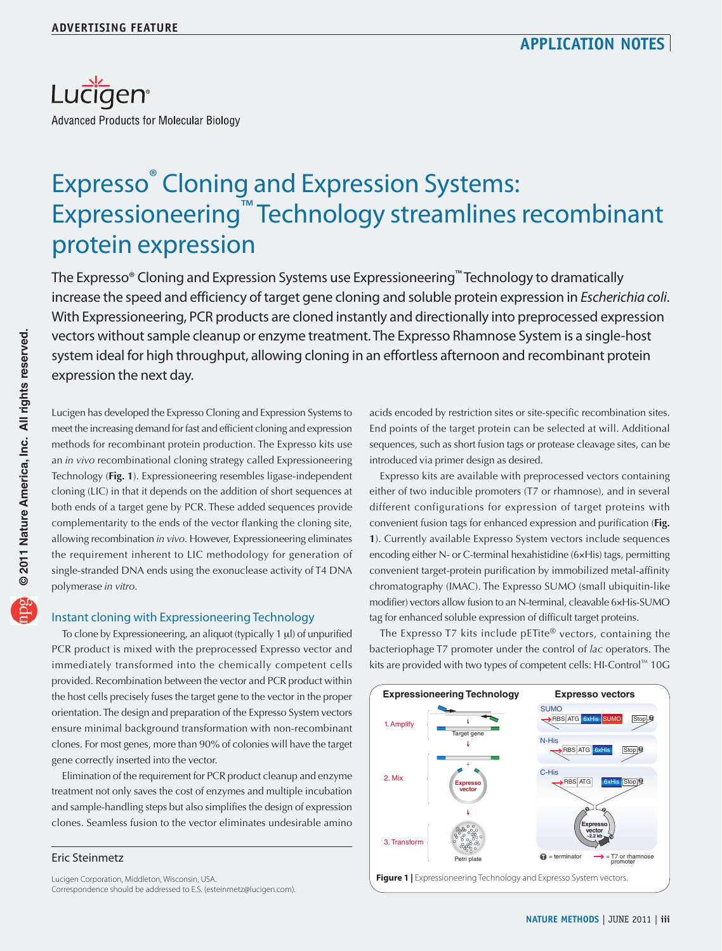

# Expresso® Cloning and Expression Systems: Expressioneering™ Technology streamlines recombinant protein expression

The Expresso® Cloning and Expression Systems use Expressioneering™ Technology to dramatically increase the speed and efficiency of target gene cloning and soluble protein expression in Escherichia coli. With Expressioneering, PCR products are cloned instantly and directionally into preprocessed expression vectors without sample cleanup or enzyme treatment. The Expresso Rhamnose System is a single-host system ideal for high throughput, allowing cloning in an effortless afternoon and recombinant protein expression the next day.

Lucigen has developed the Expresso Cloning and Expression Systems to meet the increasing demand for fast and efficient cloning and expression methods for recombinant protein production. The Expresso kits use an *in vivo* recombinational cloning strategy called Expressioneering Technology (**Fig. 1**). Expressioneering resembles ligase-independent cloning (LIC) in that it depends on the addition of short sequences at both ends of a target gene by PCR. These added sequences provide complementarity to the ends of the vector flanking the cloning site, allowing recombination *in vivo*. However, Expressioneering eliminates the requirement inherent to LIC methodology for generation of single-stranded DNA ends using the exonuclease activity of T4 DNA polymerase *in vitro*.

## Instant cloning with Expressioneering Technology

To clone by Expressioneering, an aliquot (typically 1 μl) of unpurified PCR product is mixed with the preprocessed Expresso vector and immediately transformed into the chemically competent cells provided. Recombination between the vector and PCR product within the host cells precisely fuses the target gene to the vector in the proper orientation. The design and preparation of the Expresso System vectors ensure minimal background transformation with non-recombinant clones. For most genes, more than 90% of colonies will have the target gene correctly inserted into the vector.

Elimination of the requirement for PCR product cleanup and enzyme treatment not only saves the cost of enzymes and multiple incubation and sample-handling steps but also simplifies the design of expression clones. Seamless fusion to the vector eliminates undesirable amino

### Eric Steinmetz

Lucigen Corporation, Middleton, Wisconsin, USA. Correspondence should be addressed to E.S. (esteinmetz@lucigen.com). acids encoded by restriction sites or site-specific recombination sites. End points of the target protein can be selected at will. Additional sequences, such as short fusion tags or protease cleavage sites, can be introduced via primer design as desired.

Expresso kits are available with preprocessed vectors containing either of two inducible promoters (T7 or rhamnose), and in several different configurations for expression of target proteins with convenient fusion tags for enhanced expression and purification (**Fig. 1**). Currently available Expresso System vectors include sequences encoding either N- or C-terminal hexahistidine (6×His) tags, permitting convenient target-protein purification by immobilized metal-affinity chromatography (IMAC). The Expresso SUMO (small ubiquitin-like modifier) vectors allow fusion to an N-terminal, cleavable 6×His-SUMO tag for enhanced soluble expression of difficult target proteins.

The Expresso T7 kits include pETite<sup>®</sup> vectors, containing the bacteriophage T7 promoter under the control of *lac* operators. The kits are provided with two types of competent cells: HI-Control™ 10G



© 2011 Nature America, Inc. All rights reserved. **© 2011 Nature America, Inc. All rights reserved.**